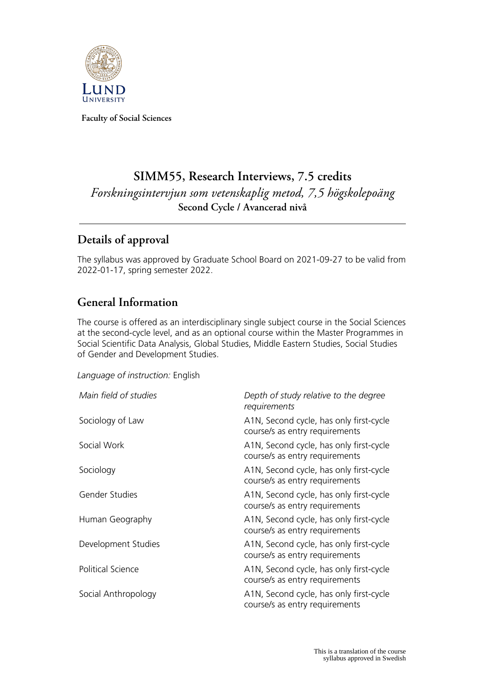

**Faculty of Social Sciences**

# **SIMM55, Research Interviews, 7.5 credits**

*Forskningsintervjun som vetenskaplig metod, 7,5 högskolepoäng* **Second Cycle / Avancerad nivå**

## **Details of approval**

The syllabus was approved by Graduate School Board on 2021-09-27 to be valid from 2022-01-17, spring semester 2022.

## **General Information**

The course is offered as an interdisciplinary single subject course in the Social Sciences at the second-cycle level, and as an optional course within the Master Programmes in Social Scientific Data Analysis, Global Studies, Middle Eastern Studies, Social Studies of Gender and Development Studies.

*Language of instruction:* English

| Main field of studies    | Depth of study relative to the degree<br>requirements                     |
|--------------------------|---------------------------------------------------------------------------|
| Sociology of Law         | A1N, Second cycle, has only first-cycle<br>course/s as entry requirements |
| Social Work              | A1N, Second cycle, has only first-cycle<br>course/s as entry requirements |
| Sociology                | A1N, Second cycle, has only first-cycle<br>course/s as entry requirements |
| Gender Studies           | A1N, Second cycle, has only first-cycle<br>course/s as entry requirements |
| Human Geography          | A1N, Second cycle, has only first-cycle<br>course/s as entry requirements |
| Development Studies      | A1N, Second cycle, has only first-cycle<br>course/s as entry requirements |
| <b>Political Science</b> | A1N, Second cycle, has only first-cycle<br>course/s as entry requirements |
| Social Anthropology      | A1N, Second cycle, has only first-cycle<br>course/s as entry requirements |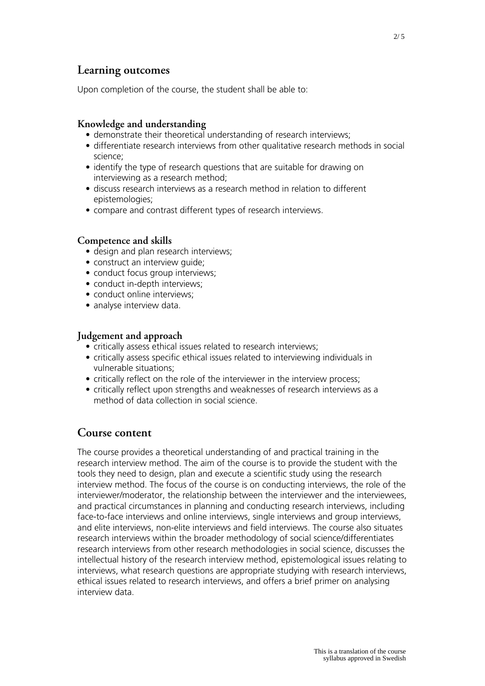### **Learning outcomes**

Upon completion of the course, the student shall be able to:

#### **Knowledge and understanding**

- demonstrate their theoretical understanding of research interviews;
- differentiate research interviews from other qualitative research methods in social science;
- identify the type of research questions that are suitable for drawing on interviewing as a research method;
- discuss research interviews as a research method in relation to different epistemologies;
- compare and contrast different types of research interviews.

#### **Competence and skills**

- design and plan research interviews;
- construct an interview guide;
- conduct focus group interviews;
- conduct in-depth interviews;
- conduct online interviews;
- analyse interview data.

#### **Judgement and approach**

- critically assess ethical issues related to research interviews;
- critically assess specific ethical issues related to interviewing individuals in vulnerable situations;
- critically reflect on the role of the interviewer in the interview process;
- critically reflect upon strengths and weaknesses of research interviews as a method of data collection in social science.

### **Course content**

The course provides a theoretical understanding of and practical training in the research interview method. The aim of the course is to provide the student with the tools they need to design, plan and execute a scientific study using the research interview method. The focus of the course is on conducting interviews, the role of the interviewer/moderator, the relationship between the interviewer and the interviewees, and practical circumstances in planning and conducting research interviews, including face-to-face interviews and online interviews, single interviews and group interviews, and elite interviews, non-elite interviews and field interviews. The course also situates research interviews within the broader methodology of social science/differentiates research interviews from other research methodologies in social science, discusses the intellectual history of the research interview method, epistemological issues relating to interviews, what research questions are appropriate studying with research interviews, ethical issues related to research interviews, and offers a brief primer on analysing interview data.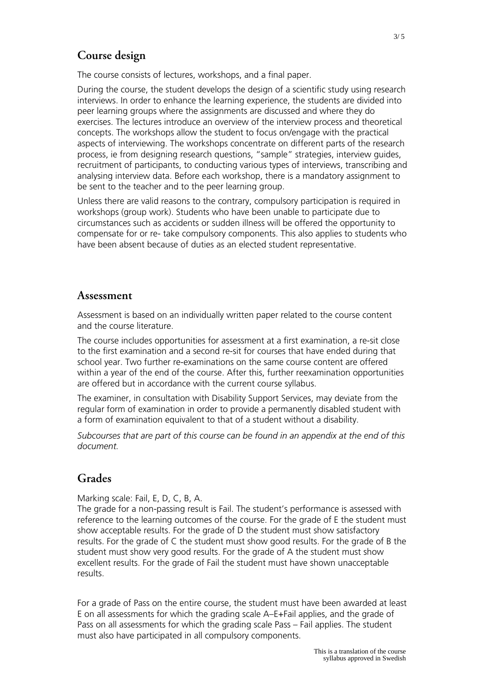## **Course design**

The course consists of lectures, workshops, and a final paper.

During the course, the student develops the design of a scientific study using research interviews. In order to enhance the learning experience, the students are divided into peer learning groups where the assignments are discussed and where they do exercises. The lectures introduce an overview of the interview process and theoretical concepts. The workshops allow the student to focus on/engage with the practical aspects of interviewing. The workshops concentrate on different parts of the research process, ie from designing research questions, "sample" strategies, interview guides, recruitment of participants, to conducting various types of interviews, transcribing and analysing interview data. Before each workshop, there is a mandatory assignment to be sent to the teacher and to the peer learning group.

Unless there are valid reasons to the contrary, compulsory participation is required in workshops (group work). Students who have been unable to participate due to circumstances such as accidents or sudden illness will be offered the opportunity to compensate for or re- take compulsory components. This also applies to students who have been absent because of duties as an elected student representative.

#### **Assessment**

Assessment is based on an individually written paper related to the course content and the course literature.

The course includes opportunities for assessment at a first examination, a re-sit close to the first examination and a second re-sit for courses that have ended during that school year. Two further re-examinations on the same course content are offered within a year of the end of the course. After this, further reexamination opportunities are offered but in accordance with the current course syllabus.

The examiner, in consultation with Disability Support Services, may deviate from the regular form of examination in order to provide a permanently disabled student with a form of examination equivalent to that of a student without a disability.

*Subcourses that are part of this course can be found in an appendix at the end of this document.*

### **Grades**

Marking scale: Fail, E, D, C, B, A.

The grade for a non-passing result is Fail. The student's performance is assessed with reference to the learning outcomes of the course. For the grade of E the student must show acceptable results. For the grade of D the student must show satisfactory results. For the grade of C the student must show good results. For the grade of B the student must show very good results. For the grade of A the student must show excellent results. For the grade of Fail the student must have shown unacceptable results.

For a grade of Pass on the entire course, the student must have been awarded at least E on all assessments for which the grading scale A–E+Fail applies, and the grade of Pass on all assessments for which the grading scale Pass – Fail applies. The student must also have participated in all compulsory components.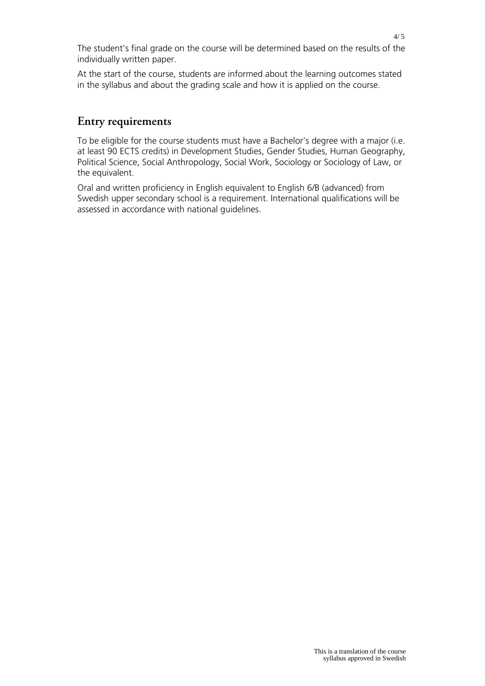The student's final grade on the course will be determined based on the results of the individually written paper.

At the start of the course, students are informed about the learning outcomes stated in the syllabus and about the grading scale and how it is applied on the course.

### **Entry requirements**

To be eligible for the course students must have a Bachelor's degree with a major (i.e. at least 90 ECTS credits) in Development Studies, Gender Studies, Human Geography, Political Science, Social Anthropology, Social Work, Sociology or Sociology of Law, or the equivalent.

Oral and written proficiency in English equivalent to English 6/B (advanced) from Swedish upper secondary school is a requirement. International qualifications will be assessed in accordance with national guidelines.